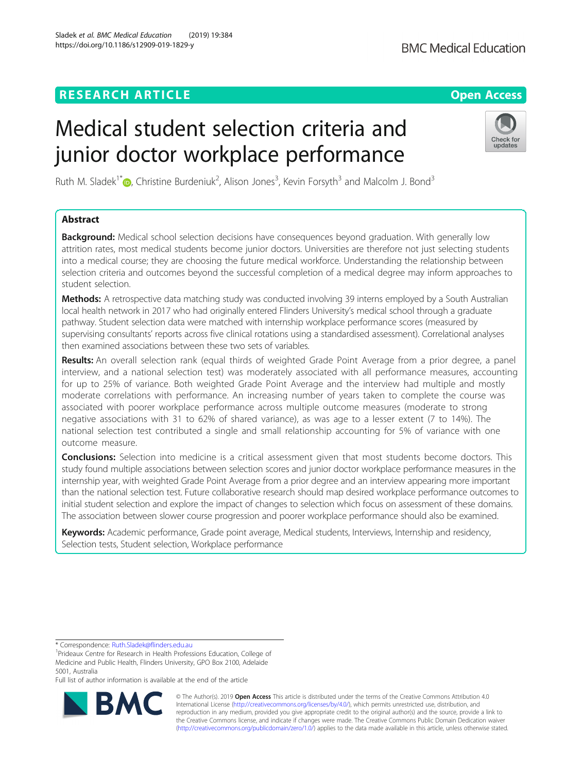# **RESEARCH ARTICLE Example 2014 12:30 The Contract of Contract ACCESS**

# Medical student selection criteria and junior doctor workplace performance

Ruth M. Sladek<sup>1\*</sup>®, Christine Burdeniuk<sup>2</sup>, Alison Jones<sup>3</sup>, Kevin Forsyth<sup>3</sup> and Malcolm J. Bond<sup>3</sup>

## Abstract

**Background:** Medical school selection decisions have consequences beyond graduation. With generally low attrition rates, most medical students become junior doctors. Universities are therefore not just selecting students into a medical course; they are choosing the future medical workforce. Understanding the relationship between selection criteria and outcomes beyond the successful completion of a medical degree may inform approaches to student selection.

Methods: A retrospective data matching study was conducted involving 39 interns employed by a South Australian local health network in 2017 who had originally entered Flinders University's medical school through a graduate pathway. Student selection data were matched with internship workplace performance scores (measured by supervising consultants' reports across five clinical rotations using a standardised assessment). Correlational analyses then examined associations between these two sets of variables.

Results: An overall selection rank (equal thirds of weighted Grade Point Average from a prior degree, a panel interview, and a national selection test) was moderately associated with all performance measures, accounting for up to 25% of variance. Both weighted Grade Point Average and the interview had multiple and mostly moderate correlations with performance. An increasing number of years taken to complete the course was associated with poorer workplace performance across multiple outcome measures (moderate to strong negative associations with 31 to 62% of shared variance), as was age to a lesser extent (7 to 14%). The national selection test contributed a single and small relationship accounting for 5% of variance with one outcome measure.

**Conclusions:** Selection into medicine is a critical assessment given that most students become doctors. This study found multiple associations between selection scores and junior doctor workplace performance measures in the internship year, with weighted Grade Point Average from a prior degree and an interview appearing more important than the national selection test. Future collaborative research should map desired workplace performance outcomes to initial student selection and explore the impact of changes to selection which focus on assessment of these domains. The association between slower course progression and poorer workplace performance should also be examined.

Keywords: Academic performance, Grade point average, Medical students, Interviews, Internship and residency, Selection tests, Student selection, Workplace performance

Full list of author information is available at the end of the article

© The Author(s). 2019 **Open Access** This article is distributed under the terms of the Creative Commons Attribution 4.0 International License [\(http://creativecommons.org/licenses/by/4.0/](http://creativecommons.org/licenses/by/4.0/)), which permits unrestricted use, distribution, and reproduction in any medium, provided you give appropriate credit to the original author(s) and the source, provide a link to the Creative Commons license, and indicate if changes were made. The Creative Commons Public Domain Dedication waiver [\(http://creativecommons.org/publicdomain/zero/1.0/](http://creativecommons.org/publicdomain/zero/1.0/)) applies to the data made available in this article, unless otherwise stated.





<sup>&</sup>lt;sup>1</sup>Prideaux Centre for Research in Health Professions Education, College of Medicine and Public Health, Flinders University, GPO Box 2100, Adelaide 5001, Australia

<sup>\*</sup> Correspondence: [Ruth.Sladek@flinders.edu.au](mailto:Ruth.Sladek@flinders.edu.au) <sup>1</sup>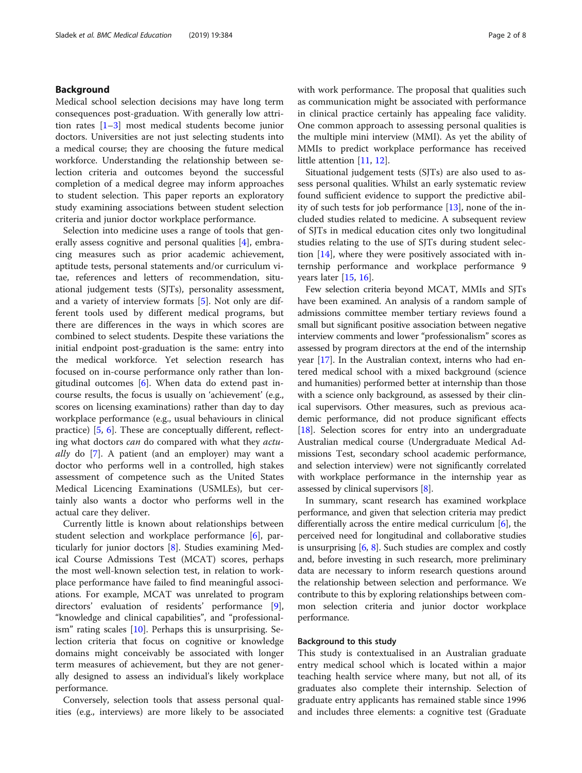### Background

Medical school selection decisions may have long term consequences post-graduation. With generally low attrition rates  $[1-3]$  $[1-3]$  $[1-3]$  most medical students become junior doctors. Universities are not just selecting students into a medical course; they are choosing the future medical workforce. Understanding the relationship between selection criteria and outcomes beyond the successful completion of a medical degree may inform approaches to student selection. This paper reports an exploratory study examining associations between student selection criteria and junior doctor workplace performance.

Selection into medicine uses a range of tools that generally assess cognitive and personal qualities [\[4](#page-7-0)], embracing measures such as prior academic achievement, aptitude tests, personal statements and/or curriculum vitae, references and letters of recommendation, situational judgement tests (SJTs), personality assessment, and a variety of interview formats [\[5](#page-7-0)]. Not only are different tools used by different medical programs, but there are differences in the ways in which scores are combined to select students. Despite these variations the initial endpoint post-graduation is the same: entry into the medical workforce. Yet selection research has focused on in-course performance only rather than longitudinal outcomes [\[6](#page-7-0)]. When data do extend past incourse results, the focus is usually on 'achievement' (e.g., scores on licensing examinations) rather than day to day workplace performance (e.g., usual behaviours in clinical practice) [[5,](#page-7-0) [6](#page-7-0)]. These are conceptually different, reflecting what doctors can do compared with what they actu- $\frac{ally}{10}$  do [\[7](#page-7-0)]. A patient (and an employer) may want a doctor who performs well in a controlled, high stakes assessment of competence such as the United States Medical Licencing Examinations (USMLEs), but certainly also wants a doctor who performs well in the actual care they deliver.

Currently little is known about relationships between student selection and workplace performance [[6\]](#page-7-0), particularly for junior doctors [[8\]](#page-7-0). Studies examining Medical Course Admissions Test (MCAT) scores, perhaps the most well-known selection test, in relation to workplace performance have failed to find meaningful associations. For example, MCAT was unrelated to program directors' evaluation of residents' performance [\[9](#page-7-0)], "knowledge and clinical capabilities", and "professionalism" rating scales [[10](#page-7-0)]. Perhaps this is unsurprising. Selection criteria that focus on cognitive or knowledge domains might conceivably be associated with longer term measures of achievement, but they are not generally designed to assess an individual's likely workplace performance.

Conversely, selection tools that assess personal qualities (e.g., interviews) are more likely to be associated with work performance. The proposal that qualities such as communication might be associated with performance in clinical practice certainly has appealing face validity. One common approach to assessing personal qualities is the multiple mini interview (MMI). As yet the ability of MMIs to predict workplace performance has received little attention [[11,](#page-7-0) [12\]](#page-7-0).

Situational judgement tests (SJTs) are also used to assess personal qualities. Whilst an early systematic review found sufficient evidence to support the predictive ability of such tests for job performance [\[13](#page-7-0)], none of the included studies related to medicine. A subsequent review of SJTs in medical education cites only two longitudinal studies relating to the use of SJTs during student selection [[14\]](#page-7-0), where they were positively associated with internship performance and workplace performance 9 years later [[15](#page-7-0), [16](#page-7-0)].

Few selection criteria beyond MCAT, MMIs and SJTs have been examined. An analysis of a random sample of admissions committee member tertiary reviews found a small but significant positive association between negative interview comments and lower "professionalism" scores as assessed by program directors at the end of the internship year [\[17\]](#page-7-0). In the Australian context, interns who had entered medical school with a mixed background (science and humanities) performed better at internship than those with a science only background, as assessed by their clinical supervisors. Other measures, such as previous academic performance, did not produce significant effects [[18](#page-7-0)]. Selection scores for entry into an undergraduate Australian medical course (Undergraduate Medical Admissions Test, secondary school academic performance, and selection interview) were not significantly correlated with workplace performance in the internship year as assessed by clinical supervisors [\[8](#page-7-0)].

In summary, scant research has examined workplace performance, and given that selection criteria may predict differentially across the entire medical curriculum [[6\]](#page-7-0), the perceived need for longitudinal and collaborative studies is unsurprising [\[6,](#page-7-0) [8\]](#page-7-0). Such studies are complex and costly and, before investing in such research, more preliminary data are necessary to inform research questions around the relationship between selection and performance. We contribute to this by exploring relationships between common selection criteria and junior doctor workplace performance.

#### Background to this study

This study is contextualised in an Australian graduate entry medical school which is located within a major teaching health service where many, but not all, of its graduates also complete their internship. Selection of graduate entry applicants has remained stable since 1996 and includes three elements: a cognitive test (Graduate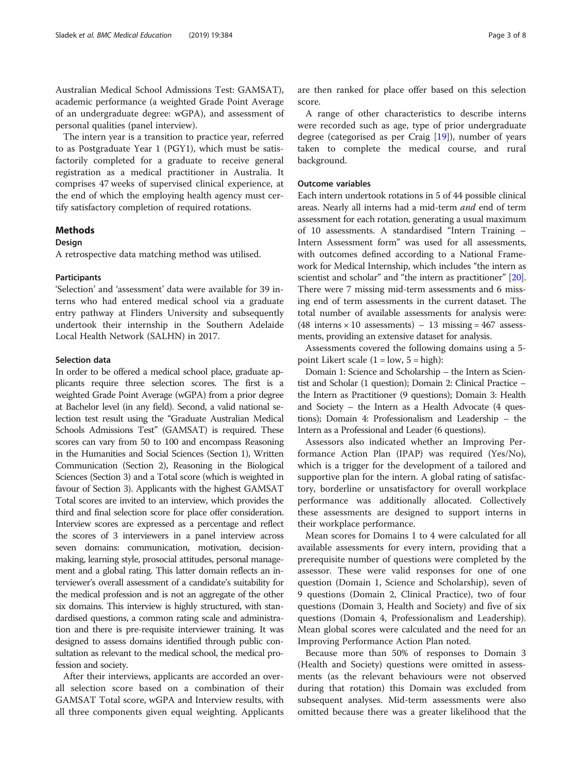Australian Medical School Admissions Test: GAMSAT), academic performance (a weighted Grade Point Average of an undergraduate degree: wGPA), and assessment of personal qualities (panel interview).

The intern year is a transition to practice year, referred to as Postgraduate Year 1 (PGY1), which must be satisfactorily completed for a graduate to receive general registration as a medical practitioner in Australia. It comprises 47 weeks of supervised clinical experience, at the end of which the employing health agency must certify satisfactory completion of required rotations.

### Methods

#### **Design**

A retrospective data matching method was utilised.

#### Participants

'Selection' and 'assessment' data were available for 39 interns who had entered medical school via a graduate entry pathway at Flinders University and subsequently undertook their internship in the Southern Adelaide Local Health Network (SALHN) in 2017.

#### Selection data

In order to be offered a medical school place, graduate applicants require three selection scores. The first is a weighted Grade Point Average (wGPA) from a prior degree at Bachelor level (in any field). Second, a valid national selection test result using the "Graduate Australian Medical Schools Admissions Test" (GAMSAT) is required. These scores can vary from 50 to 100 and encompass Reasoning in the Humanities and Social Sciences (Section 1), Written Communication (Section 2), Reasoning in the Biological Sciences (Section 3) and a Total score (which is weighted in favour of Section 3). Applicants with the highest GAMSAT Total scores are invited to an interview, which provides the third and final selection score for place offer consideration. Interview scores are expressed as a percentage and reflect the scores of 3 interviewers in a panel interview across seven domains: communication, motivation, decisionmaking, learning style, prosocial attitudes, personal management and a global rating. This latter domain reflects an interviewer's overall assessment of a candidate's suitability for the medical profession and is not an aggregate of the other six domains. This interview is highly structured, with standardised questions, a common rating scale and administration and there is pre-requisite interviewer training. It was designed to assess domains identified through public consultation as relevant to the medical school, the medical profession and society.

After their interviews, applicants are accorded an overall selection score based on a combination of their GAMSAT Total score, wGPA and Interview results, with all three components given equal weighting. Applicants are then ranked for place offer based on this selection score.

A range of other characteristics to describe interns were recorded such as age, type of prior undergraduate degree (categorised as per Craig [\[19](#page-7-0)]), number of years taken to complete the medical course, and rural background.

#### Outcome variables

Each intern undertook rotations in 5 of 44 possible clinical areas. Nearly all interns had a mid-term and end of term assessment for each rotation, generating a usual maximum of 10 assessments. A standardised "Intern Training – Intern Assessment form" was used for all assessments, with outcomes defined according to a National Framework for Medical Internship, which includes "the intern as scientist and scholar" and "the intern as practitioner" [[20](#page-7-0)]. There were 7 missing mid-term assessments and 6 missing end of term assessments in the current dataset. The total number of available assessments for analysis were: (48 interns  $\times$  10 assessments) – 13 missing = 467 assessments, providing an extensive dataset for analysis.

Assessments covered the following domains using a 5 point Likert scale  $(1 = low, 5 = high)$ :

Domain 1: Science and Scholarship – the Intern as Scientist and Scholar (1 question); Domain 2: Clinical Practice – the Intern as Practitioner (9 questions); Domain 3: Health and Society – the Intern as a Health Advocate (4 questions); Domain 4: Professionalism and Leadership – the Intern as a Professional and Leader (6 questions).

Assessors also indicated whether an Improving Performance Action Plan (IPAP) was required (Yes/No), which is a trigger for the development of a tailored and supportive plan for the intern. A global rating of satisfactory, borderline or unsatisfactory for overall workplace performance was additionally allocated. Collectively these assessments are designed to support interns in their workplace performance.

Mean scores for Domains 1 to 4 were calculated for all available assessments for every intern, providing that a prerequisite number of questions were completed by the assessor. These were valid responses for one of one question (Domain 1, Science and Scholarship), seven of 9 questions (Domain 2, Clinical Practice), two of four questions (Domain 3, Health and Society) and five of six questions (Domain 4, Professionalism and Leadership). Mean global scores were calculated and the need for an Improving Performance Action Plan noted.

Because more than 50% of responses to Domain 3 (Health and Society) questions were omitted in assessments (as the relevant behaviours were not observed during that rotation) this Domain was excluded from subsequent analyses. Mid-term assessments were also omitted because there was a greater likelihood that the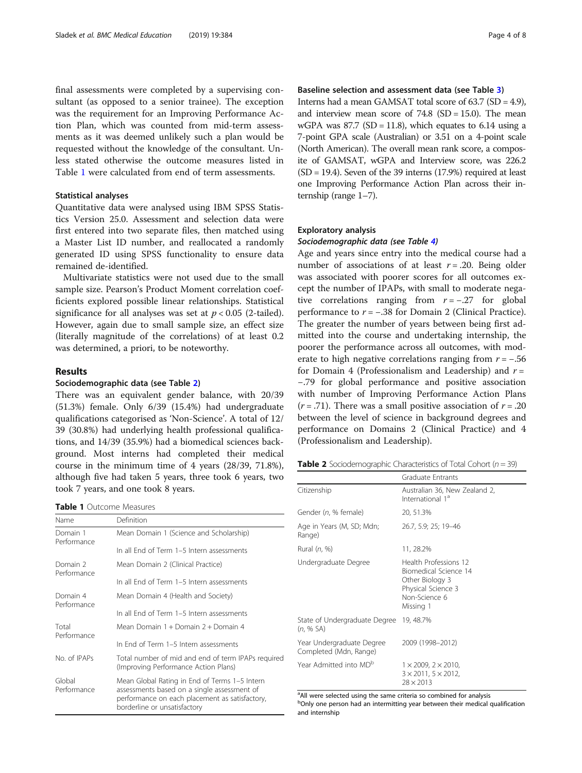final assessments were completed by a supervising consultant (as opposed to a senior trainee). The exception was the requirement for an Improving Performance Action Plan, which was counted from mid-term assessments as it was deemed unlikely such a plan would be requested without the knowledge of the consultant. Unless stated otherwise the outcome measures listed in Table 1 were calculated from end of term assessments.

#### Statistical analyses

Quantitative data were analysed using IBM SPSS Statistics Version 25.0. Assessment and selection data were first entered into two separate files, then matched using a Master List ID number, and reallocated a randomly generated ID using SPSS functionality to ensure data remained de-identified.

Multivariate statistics were not used due to the small sample size. Pearson's Product Moment correlation coefficients explored possible linear relationships. Statistical significance for all analyses was set at  $p < 0.05$  (2-tailed). However, again due to small sample size, an effect size (literally magnitude of the correlations) of at least 0.2 was determined, a priori, to be noteworthy.

#### Results

#### Sociodemographic data (see Table 2)

There was an equivalent gender balance, with 20/39 (51.3%) female. Only 6/39 (15.4%) had undergraduate qualifications categorised as 'Non-Science'. A total of 12/ 39 (30.8%) had underlying health professional qualifications, and 14/39 (35.9%) had a biomedical sciences background. Most interns had completed their medical course in the minimum time of 4 years (28/39, 71.8%), although five had taken 5 years, three took 6 years, two took 7 years, and one took 8 years.

Table 1 Outcome Measures

| Name                    | Definition                                                                                                                                                                     |  |  |  |
|-------------------------|--------------------------------------------------------------------------------------------------------------------------------------------------------------------------------|--|--|--|
| Domain 1<br>Performance | Mean Domain 1 (Science and Scholarship)                                                                                                                                        |  |  |  |
|                         | In all Fnd of Term 1-5 Intern assessments                                                                                                                                      |  |  |  |
| Domain 2<br>Performance | Mean Domain 2 (Clinical Practice)                                                                                                                                              |  |  |  |
|                         | In all End of Term 1-5 Intern assessments                                                                                                                                      |  |  |  |
| Domain 4<br>Performance | Mean Domain 4 (Health and Society)                                                                                                                                             |  |  |  |
|                         | In all Fnd of Term 1-5 Intern assessments                                                                                                                                      |  |  |  |
| Total<br>Performance    | Mean Domain 1 + Domain 2 + Domain 4                                                                                                                                            |  |  |  |
|                         | In Fnd of Term 1-5 Intern assessments                                                                                                                                          |  |  |  |
| No. of IPAPs            | Total number of mid and end of term IPAPs required<br>(Improving Performance Action Plans)                                                                                     |  |  |  |
| Global<br>Performance   | Mean Global Rating in End of Terms 1-5 Intern<br>assessments based on a single assessment of<br>performance on each placement as satisfactory,<br>borderline or unsatisfactory |  |  |  |

#### Baseline selection and assessment data (see Table [3](#page-4-0))

Interns had a mean GAMSAT total score of 63.7 (SD = 4.9), and interview mean score of  $74.8$  (SD = 15.0). The mean wGPA was  $87.7$  (SD = 11.8), which equates to 6.14 using a 7-point GPA scale (Australian) or 3.51 on a 4-point scale (North American). The overall mean rank score, a composite of GAMSAT, wGPA and Interview score, was 226.2  $(SD = 19.4)$ . Seven of the 39 interns  $(17.9%)$  required at least one Improving Performance Action Plan across their internship (range 1–7).

#### Exploratory analysis

#### Sociodemographic data (see Table [4\)](#page-5-0)

Age and years since entry into the medical course had a number of associations of at least  $r = .20$ . Being older was associated with poorer scores for all outcomes except the number of IPAPs, with small to moderate negative correlations ranging from  $r = -.27$  for global performance to  $r = -.38$  for Domain 2 (Clinical Practice). The greater the number of years between being first admitted into the course and undertaking internship, the poorer the performance across all outcomes, with moderate to high negative correlations ranging from  $r = -.56$ for Domain 4 (Professionalism and Leadership) and  $r =$ −.79 for global performance and positive association with number of Improving Performance Action Plans  $(r = .71)$ . There was a small positive association of  $r = .20$ between the level of science in background degrees and performance on Domains 2 (Clinical Practice) and 4 (Professionalism and Leadership).

**Table 2** Sociodemographic Characteristics of Total Cohort ( $n = 39$ )

|                                                     | <b>Graduate Entrants</b>                                                                                              |
|-----------------------------------------------------|-----------------------------------------------------------------------------------------------------------------------|
| Citizenship                                         | Australian 36, New Zealand 2,<br>International 1 <sup>ª</sup>                                                         |
| Gender (n, % female)                                | 20, 51.3%                                                                                                             |
| Age in Years (M, SD; Mdn;<br>Range)                 | 26.7, 5.9; 25; 19-46                                                                                                  |
| Rural (n, %)                                        | 11, 28.2%                                                                                                             |
| Undergraduate Degree                                | Health Professions 12<br>Biomedical Science 14<br>Other Biology 3<br>Physical Science 3<br>Non-Science 6<br>Missing 1 |
| State of Undergraduate Degree<br>(n, % SA)          | 19, 48.7%                                                                                                             |
| Year Undergraduate Degree<br>Completed (Mdn, Range) | 2009 (1998-2012)                                                                                                      |
| Year Admitted into MD <sup>b</sup>                  | $1 \times 2009$ , $2 \times 2010$ ,<br>$3 \times 2011$ , $5 \times 2012$ ,<br>$28 \times 2013$                        |

<sup>a</sup> All were selected using the same criteria so combined for analysis bOnly one person had an intermitting year between their medical qualification and internship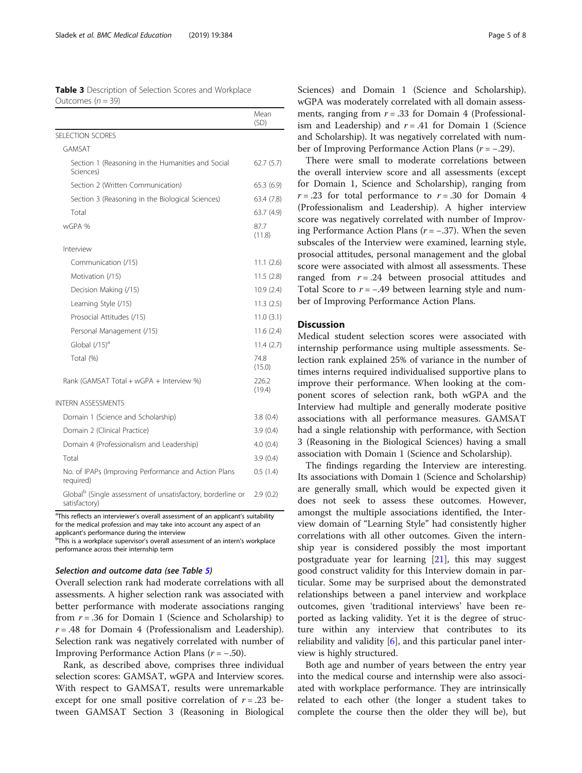<span id="page-4-0"></span>

| <b>Table 3</b> Description of Selection Scores and Workplace |  |  |
|--------------------------------------------------------------|--|--|
| Outcomes $(n = 39)$                                          |  |  |

|                                                                                          | Mean<br>(SD)    |
|------------------------------------------------------------------------------------------|-----------------|
| SELECTION SCORES                                                                         |                 |
| GAMSAT                                                                                   |                 |
| Section 1 (Reasoning in the Humanities and Social<br>Sciences)                           | 62.7(5.7)       |
| Section 2 (Written Communication)                                                        | 65.3(6.9)       |
| Section 3 (Reasoning in the Biological Sciences)                                         | 63.4 (7.8)      |
| Total                                                                                    | 63.7 (4.9)      |
| wGPA %                                                                                   | 87.7<br>(11.8)  |
| Interview                                                                                |                 |
| Communication (/15)                                                                      | 11.1(2.6)       |
| Motivation (/15)                                                                         | 11.5(2.8)       |
| Decision Making (/15)                                                                    | 10.9(2.4)       |
| Learning Style (/15)                                                                     | 11.3(2.5)       |
| Prosocial Attitudes (/15)                                                                | 11.0(3.1)       |
| Personal Management (/15)                                                                | 11.6(2.4)       |
| Global $(715)^a$                                                                         | 11.4(2.7)       |
| Total (%)                                                                                | 74.8<br>(15.0)  |
| Rank (GAMSAT Total + wGPA + Interview %)                                                 | 226.2<br>(19.4) |
| <b>INTERN ASSESSMENTS</b>                                                                |                 |
| Domain 1 (Science and Scholarship)                                                       | 3.8(0.4)        |
| Domain 2 (Clinical Practice)                                                             | 3.9(0.4)        |
| Domain 4 (Professionalism and Leadership)                                                | 4.0(0.4)        |
| Total                                                                                    | 3.9(0.4)        |
| No. of IPAPs (Improving Performance and Action Plans<br>required)                        | 0.5(1.4)        |
| Global <sup>b</sup> (Single assessment of unsatisfactory, borderline or<br>satisfactory) | 2.9(0.2)        |

<sup>a</sup>This reflects an interviewer's overall assessment of an applicant's suitability for the medical profession and may take into account any aspect of an applicant's performance during the interview

<sup>b</sup>This is a workplace supervisor's overall assessment of an intern's workplace performance across their internship term

#### Selection and outcome data (see Table [5\)](#page-5-0)

Overall selection rank had moderate correlations with all assessments. A higher selection rank was associated with better performance with moderate associations ranging from  $r = .36$  for Domain 1 (Science and Scholarship) to  $r = .48$  for Domain 4 (Professionalism and Leadership). Selection rank was negatively correlated with number of Improving Performance Action Plans  $(r = -.50)$ .

Rank, as described above, comprises three individual selection scores: GAMSAT, wGPA and Interview scores. With respect to GAMSAT, results were unremarkable except for one small positive correlation of  $r = .23$  between GAMSAT Section 3 (Reasoning in Biological Sciences) and Domain 1 (Science and Scholarship). wGPA was moderately correlated with all domain assessments, ranging from  $r = .33$  for Domain 4 (Professionalism and Leadership) and  $r = .41$  for Domain 1 (Science and Scholarship). It was negatively correlated with number of Improving Performance Action Plans ( $r = -0.29$ ).

There were small to moderate correlations between the overall interview score and all assessments (except for Domain 1, Science and Scholarship), ranging from  $r = .23$  for total performance to  $r = .30$  for Domain 4 (Professionalism and Leadership). A higher interview score was negatively correlated with number of Improving Performance Action Plans ( $r = -.37$ ). When the seven subscales of the Interview were examined, learning style, prosocial attitudes, personal management and the global score were associated with almost all assessments. These ranged from  $r = .24$  between prosocial attitudes and Total Score to  $r = -.49$  between learning style and number of Improving Performance Action Plans.

#### **Discussion**

Medical student selection scores were associated with internship performance using multiple assessments. Selection rank explained 25% of variance in the number of times interns required individualised supportive plans to improve their performance. When looking at the component scores of selection rank, both wGPA and the Interview had multiple and generally moderate positive associations with all performance measures. GAMSAT had a single relationship with performance, with Section 3 (Reasoning in the Biological Sciences) having a small association with Domain 1 (Science and Scholarship).

The findings regarding the Interview are interesting. Its associations with Domain 1 (Science and Scholarship) are generally small, which would be expected given it does not seek to assess these outcomes. However, amongst the multiple associations identified, the Interview domain of "Learning Style" had consistently higher correlations with all other outcomes. Given the internship year is considered possibly the most important postgraduate year for learning [[21\]](#page-7-0), this may suggest good construct validity for this Interview domain in particular. Some may be surprised about the demonstrated relationships between a panel interview and workplace outcomes, given 'traditional interviews' have been reported as lacking validity. Yet it is the degree of structure within any interview that contributes to its reliability and validity  $[6]$  $[6]$ , and this particular panel interview is highly structured.

Both age and number of years between the entry year into the medical course and internship were also associated with workplace performance. They are intrinsically related to each other (the longer a student takes to complete the course then the older they will be), but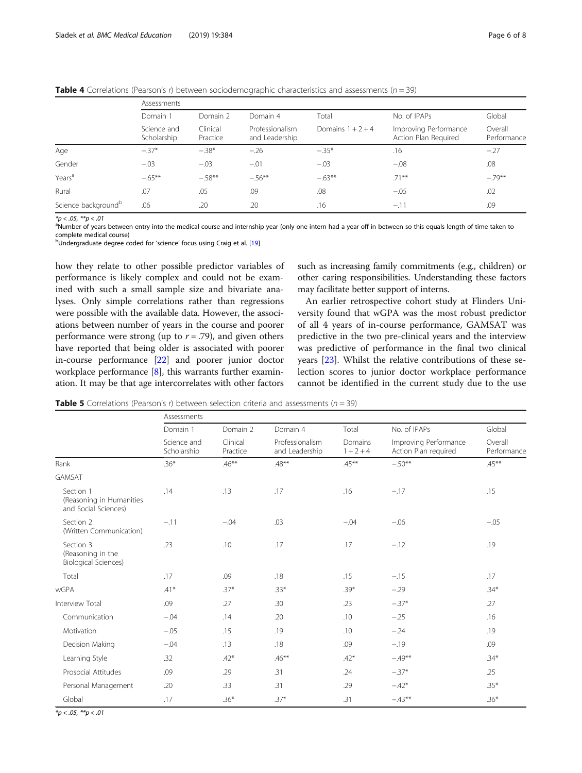<span id="page-5-0"></span>**Table 4** Correlations (Pearson's r) between sociodemographic characteristics and assessments ( $n = 39$ )

|                                 | Assessments                |                      |                                   |                     |                                               |                        |  |
|---------------------------------|----------------------------|----------------------|-----------------------------------|---------------------|-----------------------------------------------|------------------------|--|
|                                 | Domain 1                   | Domain 2             | Domain 4                          | Total               | No. of IPAPs                                  | Global                 |  |
|                                 | Science and<br>Scholarship | Clinical<br>Practice | Professionalism<br>and Leadership | Domains $1 + 2 + 4$ | Improving Performance<br>Action Plan Required | Overall<br>Performance |  |
| Age                             | $-.37*$                    | $-.38*$              | $-.26$                            | $-.35*$             | .16                                           | $-.27$                 |  |
| Gender                          | $-.03$                     | $-.03$               | $-.01$                            | $-.03$              | $-.08$                                        | .08                    |  |
| Years <sup>a</sup>              | $-0.65***$                 | $-58**$              | $-.56***$                         | $-63**$             | $.71***$                                      | $-.79**$               |  |
| Rural                           | .07                        | .05                  | .09                               | .08                 | $-.05$                                        | .02                    |  |
| Science background <sup>b</sup> | .06                        | .20                  | .20                               | .16                 | $-.11$                                        | .09                    |  |

 $*p < .05, **p < .01$ 

<sup>a</sup>Number of years between entry into the medical course and internship year (only one intern had a year off in between so this equals length of time taken to complete medical course)

<sup>b</sup>Undergraduate degree coded for 'science' focus using Craig et al. [\[19](#page-7-0)]

how they relate to other possible predictor variables of performance is likely complex and could not be examined with such a small sample size and bivariate analyses. Only simple correlations rather than regressions were possible with the available data. However, the associations between number of years in the course and poorer performance were strong (up to  $r = .79$ ), and given others have reported that being older is associated with poorer in-course performance [[22](#page-7-0)] and poorer junior doctor workplace performance [[8\]](#page-7-0), this warrants further examination. It may be that age intercorrelates with other factors

such as increasing family commitments (e.g., children) or other caring responsibilities. Understanding these factors may facilitate better support of interns.

An earlier retrospective cohort study at Flinders University found that wGPA was the most robust predictor of all 4 years of in-course performance, GAMSAT was predictive in the two pre-clinical years and the interview was predictive of performance in the final two clinical years [\[23](#page-7-0)]. Whilst the relative contributions of these selection scores to junior doctor workplace performance cannot be identified in the current study due to the use

**Table 5** Correlations (Pearson's r) between selection criteria and assessments ( $n = 39$ )

|                                                               | Assessments                |                      |                                   |                        |                                               |                        |  |  |
|---------------------------------------------------------------|----------------------------|----------------------|-----------------------------------|------------------------|-----------------------------------------------|------------------------|--|--|
|                                                               | Domain 1                   | Domain 2             | Domain 4                          | Total                  | No. of IPAPs                                  | Global                 |  |  |
|                                                               | Science and<br>Scholarship | Clinical<br>Practice | Professionalism<br>and Leadership | Domains<br>$1 + 2 + 4$ | Improving Performance<br>Action Plan required | Overall<br>Performance |  |  |
| Rank                                                          | $.36*$                     | $.46***$             | $.48***$                          | $.45***$               | $-.50**$                                      | $.45***$               |  |  |
| GAMSAT                                                        |                            |                      |                                   |                        |                                               |                        |  |  |
| Section 1<br>(Reasoning in Humanities<br>and Social Sciences) | .14                        | .13                  | .17                               | .16                    | $-.17$                                        | .15                    |  |  |
| Section 2<br>(Written Communication)                          | $-.11$                     | $-.04$               | .03                               | $-.04$                 | $-.06$                                        | $-.05$                 |  |  |
| Section 3<br>(Reasoning in the<br>Biological Sciences)        | .23                        | .10                  | .17                               | .17                    | $-.12$                                        | .19                    |  |  |
| Total                                                         | .17                        | .09                  | .18                               | .15                    | $-.15$                                        | .17                    |  |  |
| <b>wGPA</b>                                                   | $.41*$                     | $.37*$               | $.33*$                            | $.39*$                 | $-.29$                                        | $.34*$                 |  |  |
| Interview Total                                               | .09                        | .27                  | .30                               | .23                    | $-.37*$                                       | .27                    |  |  |
| Communication                                                 | $-.04$                     | .14                  | .20                               | .10                    | $-.25$                                        | .16                    |  |  |
| Motivation                                                    | $-05$                      | .15                  | .19                               | .10                    | $-.24$                                        | .19                    |  |  |
| Decision Making                                               | $-.04$                     | .13                  | .18                               | .09                    | $-.19$                                        | .09                    |  |  |
| Learning Style                                                | .32                        | $.42*$               | $.46***$                          | $.42*$                 | $-.49**$                                      | $.34*$                 |  |  |
| Prosocial Attitudes                                           | .09                        | .29                  | .31                               | .24                    | $-.37*$                                       | .25                    |  |  |
| Personal Management                                           | .20                        | .33                  | .31                               | .29                    | $-.42*$                                       | $.35*$                 |  |  |
| Global                                                        | .17                        | $.36*$               | $.37*$                            | .31                    | $-.43**$                                      | $.36*$                 |  |  |

 $*p < .05, **p < .01$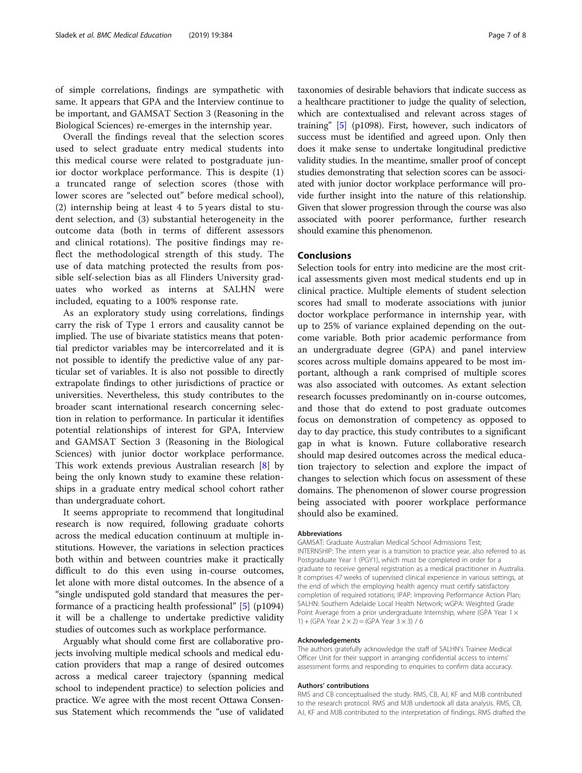of simple correlations, findings are sympathetic with same. It appears that GPA and the Interview continue to be important, and GAMSAT Section 3 (Reasoning in the Biological Sciences) re-emerges in the internship year.

Overall the findings reveal that the selection scores used to select graduate entry medical students into this medical course were related to postgraduate junior doctor workplace performance. This is despite (1) a truncated range of selection scores (those with lower scores are "selected out" before medical school), (2) internship being at least 4 to 5 years distal to student selection, and (3) substantial heterogeneity in the outcome data (both in terms of different assessors and clinical rotations). The positive findings may reflect the methodological strength of this study. The use of data matching protected the results from possible self-selection bias as all Flinders University graduates who worked as interns at SALHN were included, equating to a 100% response rate.

As an exploratory study using correlations, findings carry the risk of Type 1 errors and causality cannot be implied. The use of bivariate statistics means that potential predictor variables may be intercorrelated and it is not possible to identify the predictive value of any particular set of variables. It is also not possible to directly extrapolate findings to other jurisdictions of practice or universities. Nevertheless, this study contributes to the broader scant international research concerning selection in relation to performance. In particular it identifies potential relationships of interest for GPA, Interview and GAMSAT Section 3 (Reasoning in the Biological Sciences) with junior doctor workplace performance. This work extends previous Australian research [\[8](#page-7-0)] by being the only known study to examine these relationships in a graduate entry medical school cohort rather than undergraduate cohort.

It seems appropriate to recommend that longitudinal research is now required, following graduate cohorts across the medical education continuum at multiple institutions. However, the variations in selection practices both within and between countries make it practically difficult to do this even using in-course outcomes, let alone with more distal outcomes. In the absence of a "single undisputed gold standard that measures the performance of a practicing health professional" [\[5\]](#page-7-0) (p1094) it will be a challenge to undertake predictive validity studies of outcomes such as workplace performance.

Arguably what should come first are collaborative projects involving multiple medical schools and medical education providers that map a range of desired outcomes across a medical career trajectory (spanning medical school to independent practice) to selection policies and practice. We agree with the most recent Ottawa Consensus Statement which recommends the "use of validated

taxonomies of desirable behaviors that indicate success as a healthcare practitioner to judge the quality of selection, which are contextualised and relevant across stages of training" [\[5](#page-7-0)] (p1098). First, however, such indicators of success must be identified and agreed upon. Only then does it make sense to undertake longitudinal predictive validity studies. In the meantime, smaller proof of concept studies demonstrating that selection scores can be associated with junior doctor workplace performance will provide further insight into the nature of this relationship. Given that slower progression through the course was also associated with poorer performance, further research should examine this phenomenon.

### Conclusions

Selection tools for entry into medicine are the most critical assessments given most medical students end up in clinical practice. Multiple elements of student selection scores had small to moderate associations with junior doctor workplace performance in internship year, with up to 25% of variance explained depending on the outcome variable. Both prior academic performance from an undergraduate degree (GPA) and panel interview scores across multiple domains appeared to be most important, although a rank comprised of multiple scores was also associated with outcomes. As extant selection research focusses predominantly on in-course outcomes, and those that do extend to post graduate outcomes focus on demonstration of competency as opposed to day to day practice, this study contributes to a significant gap in what is known. Future collaborative research should map desired outcomes across the medical education trajectory to selection and explore the impact of changes to selection which focus on assessment of these domains. The phenomenon of slower course progression being associated with poorer workplace performance should also be examined.

#### Abbreviations

GAMSAT: Graduate Australian Medical School Admissions Test; INTERNSHIP: The intern year is a transition to practice year, also referred to as Postgraduate Year 1 (PGY1), which must be completed in order for a graduate to receive general registration as a medical practitioner in Australia. It comprises 47 weeks of supervised clinical experience in various settings, at the end of which the employing health agency must certify satisfactory completion of required rotations; IPAP: Improving Performance Action Plan; SALHN: Southern Adelaide Local Health Network; wGPA: Weighted Grade Point Average from a prior undergraduate Internship, where (GPA Year 1  $\times$ 1) + (GPA Year  $2 \times 2$ ) = (GPA Year  $3 \times 3$ ) / 6

#### Acknowledgements

The authors gratefully acknowledge the staff of SALHN's Trainee Medical Officer Unit for their support in arranging confidential access to interns' assessment forms and responding to enquiries to confirm data accuracy.

#### Authors' contributions

RMS and CB conceptualised the study. RMS, CB, AJ, KF and MJB contributed to the research protocol. RMS and MJB undertook all data analysis. RMS, CB, AJ, KF and MJB contributed to the interpretation of findings. RMS drafted the